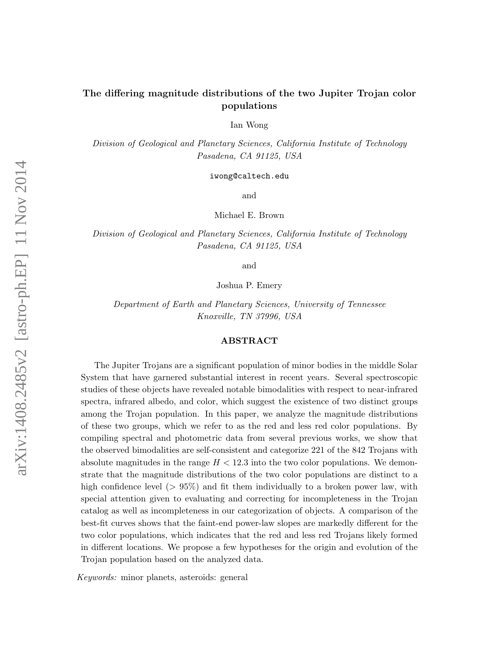# The differing magnitude distributions of the two Jupiter Trojan color populations

Ian Wong

Division of Geological and Planetary Sciences, California Institute of Technology Pasadena, CA 91125, USA

iwong@caltech.edu

and

Michael E. Brown

Division of Geological and Planetary Sciences, California Institute of Technology Pasadena, CA 91125, USA

and

Joshua P. Emery

Department of Earth and Planetary Sciences, University of Tennessee Knoxville, TN 37996, USA

# ABSTRACT

The Jupiter Trojans are a significant population of minor bodies in the middle Solar System that have garnered substantial interest in recent years. Several spectroscopic studies of these objects have revealed notable bimodalities with respect to near-infrared spectra, infrared albedo, and color, which suggest the existence of two distinct groups among the Trojan population. In this paper, we analyze the magnitude distributions of these two groups, which we refer to as the red and less red color populations. By compiling spectral and photometric data from several previous works, we show that the observed bimodalities are self-consistent and categorize 221 of the 842 Trojans with absolute magnitudes in the range  $H < 12.3$  into the two color populations. We demonstrate that the magnitude distributions of the two color populations are distinct to a high confidence level ( $> 95\%$ ) and fit them individually to a broken power law, with special attention given to evaluating and correcting for incompleteness in the Trojan catalog as well as incompleteness in our categorization of objects. A comparison of the best-fit curves shows that the faint-end power-law slopes are markedly different for the two color populations, which indicates that the red and less red Trojans likely formed in different locations. We propose a few hypotheses for the origin and evolution of the Trojan population based on the analyzed data.

Keywords: minor planets, asteroids: general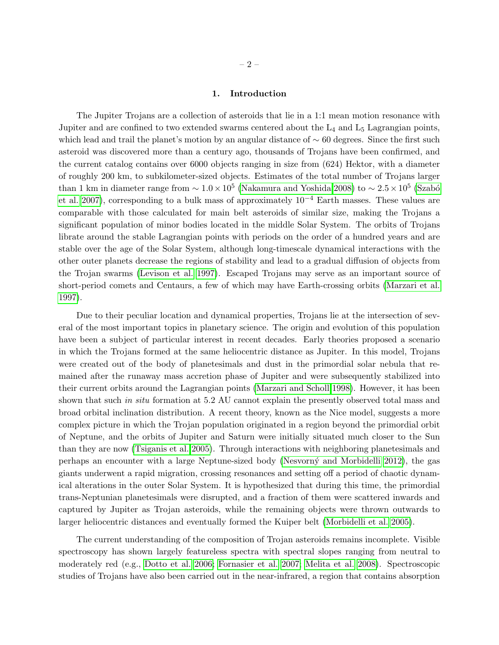## 1. Introduction

The Jupiter Trojans are a collection of asteroids that lie in a 1:1 mean motion resonance with Jupiter and are confined to two extended swarms centered about the  $L_4$  and  $L_5$  Lagrangian points, which lead and trail the planet's motion by an angular distance of  $\sim 60$  degrees. Since the first such asteroid was discovered more than a century ago, thousands of Trojans have been confirmed, and the current catalog contains over 6000 objects ranging in size from (624) Hektor, with a diameter of roughly 200 km, to subkilometer-sized objects. Estimates of the total number of Trojans larger than 1 km in diameter range from  $\sim 1.0 \times 10^5$  [\(Nakamura and Yoshida 2008\)](#page-24-0) to  $\sim 2.5 \times 10^5$  (Szabó [et al. 2007\)](#page-25-0), corresponding to a bulk mass of approximately  $10^{-4}$  Earth masses. These values are comparable with those calculated for main belt asteroids of similar size, making the Trojans a significant population of minor bodies located in the middle Solar System. The orbits of Trojans librate around the stable Lagrangian points with periods on the order of a hundred years and are stable over the age of the Solar System, although long-timescale dynamical interactions with the other outer planets decrease the regions of stability and lead to a gradual diffusion of objects from the Trojan swarms [\(Levison et al. 1997\)](#page-24-1). Escaped Trojans may serve as an important source of short-period comets and Centaurs, a few of which may have Earth-crossing orbits [\(Marzari et al.](#page-24-2) [1997\)](#page-24-2).

Due to their peculiar location and dynamical properties, Trojans lie at the intersection of several of the most important topics in planetary science. The origin and evolution of this population have been a subject of particular interest in recent decades. Early theories proposed a scenario in which the Trojans formed at the same heliocentric distance as Jupiter. In this model, Trojans were created out of the body of planetesimals and dust in the primordial solar nebula that remained after the runaway mass accretion phase of Jupiter and were subsequently stabilized into their current orbits around the Lagrangian points [\(Marzari and Scholl 1998\)](#page-24-3). However, it has been shown that such *in situ* formation at 5.2 AU cannot explain the presently observed total mass and broad orbital inclination distribution. A recent theory, known as the Nice model, suggests a more complex picture in which the Trojan population originated in a region beyond the primordial orbit of Neptune, and the orbits of Jupiter and Saturn were initially situated much closer to the Sun than they are now [\(Tsiganis et al. 2005\)](#page-25-1). Through interactions with neighboring planetesimals and perhaps an encounter with a large Neptune-sized body [\(Nesvorn´y and Morbidelli 2012\)](#page-24-4), the gas giants underwent a rapid migration, crossing resonances and setting off a period of chaotic dynamical alterations in the outer Solar System. It is hypothesized that during this time, the primordial trans-Neptunian planetesimals were disrupted, and a fraction of them were scattered inwards and captured by Jupiter as Trojan asteroids, while the remaining objects were thrown outwards to larger heliocentric distances and eventually formed the Kuiper belt [\(Morbidelli et al. 2005\)](#page-24-5).

The current understanding of the composition of Trojan asteroids remains incomplete. Visible spectroscopy has shown largely featureless spectra with spectral slopes ranging from neutral to moderately red (e.g., [Dotto et al. 2006;](#page-23-0) [Fornasier et al. 2007;](#page-23-1) [Melita et al. 2008\)](#page-24-6). Spectroscopic studies of Trojans have also been carried out in the near-infrared, a region that contains absorption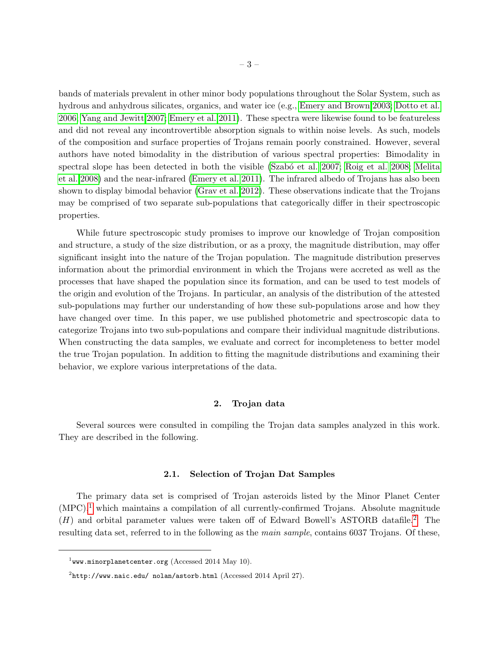bands of materials prevalent in other minor body populations throughout the Solar System, such as hydrous and anhydrous silicates, organics, and water ice (e.g., [Emery and Brown 2003;](#page-23-2) [Dotto et al.](#page-23-0) [2006;](#page-23-0) [Yang and Jewitt 2007;](#page-25-2) [Emery et al. 2011\)](#page-23-3). These spectra were likewise found to be featureless and did not reveal any incontrovertible absorption signals to within noise levels. As such, models of the composition and surface properties of Trojans remain poorly constrained. However, several authors have noted bimodality in the distribution of various spectral properties: Bimodality in spectral slope has been detected in both the visible (Szabó et al. 2007; [Roig et al. 2008;](#page-24-7) [Melita](#page-24-6) [et al. 2008\)](#page-24-6) and the near-infrared [\(Emery et al. 2011\)](#page-23-3). The infrared albedo of Trojans has also been shown to display bimodal behavior [\(Grav et al. 2012\)](#page-24-8). These observations indicate that the Trojans may be comprised of two separate sub-populations that categorically differ in their spectroscopic properties.

While future spectroscopic study promises to improve our knowledge of Trojan composition and structure, a study of the size distribution, or as a proxy, the magnitude distribution, may offer significant insight into the nature of the Trojan population. The magnitude distribution preserves information about the primordial environment in which the Trojans were accreted as well as the processes that have shaped the population since its formation, and can be used to test models of the origin and evolution of the Trojans. In particular, an analysis of the distribution of the attested sub-populations may further our understanding of how these sub-populations arose and how they have changed over time. In this paper, we use published photometric and spectroscopic data to categorize Trojans into two sub-populations and compare their individual magnitude distributions. When constructing the data samples, we evaluate and correct for incompleteness to better model the true Trojan population. In addition to fitting the magnitude distributions and examining their behavior, we explore various interpretations of the data.

# 2. Trojan data

Several sources were consulted in compiling the Trojan data samples analyzed in this work. They are described in the following.

#### 2.1. Selection of Trojan Dat Samples

The primary data set is comprised of Trojan asteroids listed by the Minor Planet Center  $(MPC)$ , which maintains a compilation of all currently-confirmed Trojans. Absolute magnitude  $(H)$  and orbital parameter values were taken off of Edward Bowell's ASTORB datafile.<sup>[2](#page-2-1)</sup> The resulting data set, referred to in the following as the main sample, contains 6037 Trojans. Of these,

<span id="page-2-0"></span> $1$ www.minorplanetcenter.org (Accessed 2014 May 10).

<span id="page-2-1"></span> $^2$ http://www.naic.edu/ nolan/astorb.html ( $\rm Accessed$   $2014$   $\rm April$   $27)$ .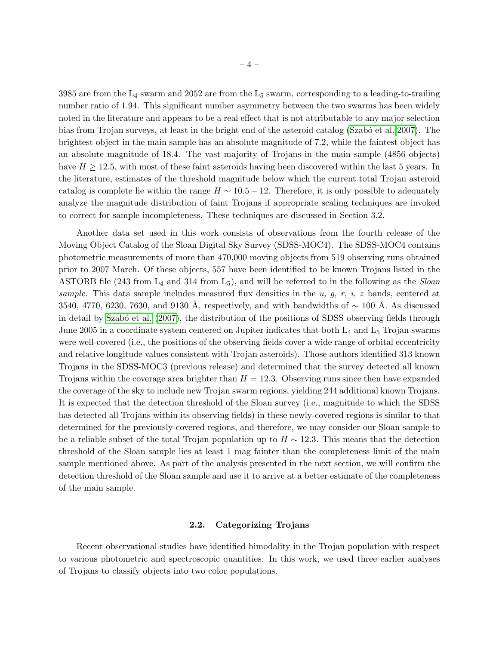3985 are from the  $L_4$  swarm and 2052 are from the  $L_5$  swarm, corresponding to a leading-to-trailing number ratio of 1.94. This significant number asymmetry between the two swarms has been widely noted in the literature and appears to be a real effect that is not attributable to any major selection bias from Trojan surveys, at least in the bright end of the asteroid catalog (Szabó et al. 2007). The brightest object in the main sample has an absolute magnitude of 7.2, while the faintest object has an absolute magnitude of 18.4. The vast majority of Trojans in the main sample (4856 objects) have  $H \geq 12.5$ , with most of these faint asteroids having been discovered within the last 5 years. In the literature, estimates of the threshold magnitude below which the current total Trojan asteroid catalog is complete lie within the range  $H \sim 10.5 - 12$ . Therefore, it is only possible to adequately analyze the magnitude distribution of faint Trojans if appropriate scaling techniques are invoked to correct for sample incompleteness. These techniques are discussed in Section 3.2.

Another data set used in this work consists of observations from the fourth release of the Moving Object Catalog of the Sloan Digital Sky Survey (SDSS-MOC4). The SDSS-MOC4 contains photometric measurements of more than 470,000 moving objects from 519 observing runs obtained prior to 2007 March. Of these objects, 557 have been identified to be known Trojans listed in the ASTORB file (243 from  $L_4$  and 314 from  $L_5$ ), and will be referred to in the following as the *Sloan* sample. This data sample includes measured flux densities in the  $u, g, r, i, z$  bands, centered at 3540, 4770, 6230, 7630, and 9130 Å, respectively, and with bandwidths of  $\sim 100$  Å. As discussed in detail by Szabó et al. [\(2007\)](#page-25-0), the distribution of the positions of SDSS observing fields through June 2005 in a coordinate system centered on Jupiter indicates that both  $L_4$  and  $L_5$  Trojan swarms were well-covered (i.e., the positions of the observing fields cover a wide range of orbital eccentricity and relative longitude values consistent with Trojan asteroids). Those authors identified 313 known Trojans in the SDSS-MOC3 (previous release) and determined that the survey detected all known Trojans within the coverage area brighter than  $H = 12.3$ . Observing runs since then have expanded the coverage of the sky to include new Trojan swarm regions, yielding 244 additional known Trojans. It is expected that the detection threshold of the Sloan survey (i.e., magnitude to which the SDSS has detected all Trojans within its observing fields) in these newly-covered regions is similar to that determined for the previously-covered regions, and therefore, we may consider our Sloan sample to be a reliable subset of the total Trojan population up to  $H \sim 12.3$ . This means that the detection threshold of the Sloan sample lies at least 1 mag fainter than the completeness limit of the main sample mentioned above. As part of the analysis presented in the next section, we will confirm the detection threshold of the Sloan sample and use it to arrive at a better estimate of the completeness of the main sample.

#### 2.2. Categorizing Trojans

Recent observational studies have identified bimodality in the Trojan population with respect to various photometric and spectroscopic quantities. In this work, we used three earlier analyses of Trojans to classify objects into two color populations.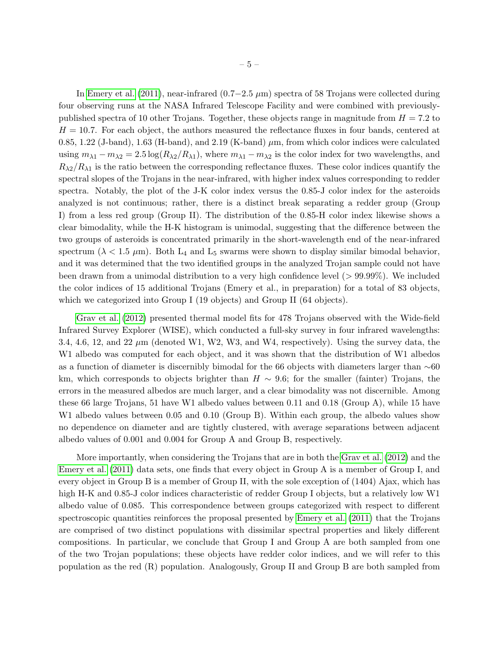In [Emery et al.](#page-23-3) [\(2011\)](#page-23-3), near-infrared (0.7–2.5  $\mu$ m) spectra of 58 Trojans were collected during four observing runs at the NASA Infrared Telescope Facility and were combined with previouslypublished spectra of 10 other Trojans. Together, these objects range in magnitude from  $H = 7.2$  to  $H = 10.7$ . For each object, the authors measured the reflectance fluxes in four bands, centered at 0.85, 1.22 (J-band), 1.63 (H-band), and 2.19 (K-band)  $\mu$ m, from which color indices were calculated using  $m_{\lambda 1} - m_{\lambda 2} = 2.5 \log(R_{\lambda 2}/R_{\lambda 1})$ , where  $m_{\lambda 1} - m_{\lambda 2}$  is the color index for two wavelengths, and  $R_{\lambda 2}/R_{\lambda 1}$  is the ratio between the corresponding reflectance fluxes. These color indices quantify the spectral slopes of the Trojans in the near-infrared, with higher index values corresponding to redder spectra. Notably, the plot of the J-K color index versus the 0.85-J color index for the asteroids analyzed is not continuous; rather, there is a distinct break separating a redder group (Group I) from a less red group (Group II). The distribution of the 0.85-H color index likewise shows a clear bimodality, while the H-K histogram is unimodal, suggesting that the difference between the two groups of asteroids is concentrated primarily in the short-wavelength end of the near-infrared spectrum ( $\lambda < 1.5 \mu$ m). Both L<sub>4</sub> and L<sub>5</sub> swarms were shown to display similar bimodal behavior, and it was determined that the two identified groups in the analyzed Trojan sample could not have been drawn from a unimodal distribution to a very high confidence level (> 99.99%). We included the color indices of 15 additional Trojans (Emery et al., in preparation) for a total of 83 objects, which we categorized into Group I (19 objects) and Group II (64 objects).

[Grav et al.](#page-24-8) [\(2012\)](#page-24-8) presented thermal model fits for 478 Trojans observed with the Wide-field Infrared Survey Explorer (WISE), which conducted a full-sky survey in four infrared wavelengths: 3.4, 4.6, 12, and 22  $\mu$ m (denoted W1, W2, W3, and W4, respectively). Using the survey data, the W1 albedo was computed for each object, and it was shown that the distribution of W1 albedos as a function of diameter is discernibly bimodal for the 66 objects with diameters larger than ∼60 km, which corresponds to objects brighter than  $H \sim 9.6$ ; for the smaller (fainter) Trojans, the errors in the measured albedos are much larger, and a clear bimodality was not discernible. Among these 66 large Trojans, 51 have W1 albedo values between 0.11 and 0.18 (Group A), while 15 have W1 albedo values between 0.05 and 0.10 (Group B). Within each group, the albedo values show no dependence on diameter and are tightly clustered, with average separations between adjacent albedo values of 0.001 and 0.004 for Group A and Group B, respectively.

More importantly, when considering the Trojans that are in both the [Grav et al.](#page-24-8) [\(2012\)](#page-24-8) and the [Emery et al.](#page-23-3) [\(2011\)](#page-23-3) data sets, one finds that every object in Group A is a member of Group I, and every object in Group B is a member of Group II, with the sole exception of (1404) Ajax, which has high H-K and 0.85-J color indices characteristic of redder Group I objects, but a relatively low W1 albedo value of 0.085. This correspondence between groups categorized with respect to different spectroscopic quantities reinforces the proposal presented by [Emery et al.](#page-23-3) [\(2011\)](#page-23-3) that the Trojans are comprised of two distinct populations with dissimilar spectral properties and likely different compositions. In particular, we conclude that Group I and Group A are both sampled from one of the two Trojan populations; these objects have redder color indices, and we will refer to this population as the red (R) population. Analogously, Group II and Group B are both sampled from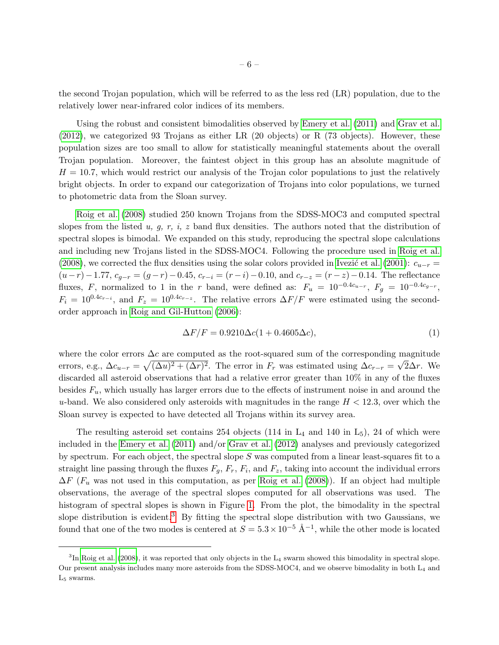the second Trojan population, which will be referred to as the less red (LR) population, due to the relatively lower near-infrared color indices of its members.

Using the robust and consistent bimodalities observed by [Emery et al.](#page-23-3) [\(2011\)](#page-23-3) and [Grav et al.](#page-24-8) [\(2012\)](#page-24-8), we categorized 93 Trojans as either LR (20 objects) or R (73 objects). However, these population sizes are too small to allow for statistically meaningful statements about the overall Trojan population. Moreover, the faintest object in this group has an absolute magnitude of  $H = 10.7$ , which would restrict our analysis of the Trojan color populations to just the relatively bright objects. In order to expand our categorization of Trojans into color populations, we turned to photometric data from the Sloan survey.

[Roig et al.](#page-24-7) [\(2008\)](#page-24-7) studied 250 known Trojans from the SDSS-MOC3 and computed spectral slopes from the listed  $u, g, r, i, z$  band flux densities. The authors noted that the distribution of spectral slopes is bimodal. We expanded on this study, reproducing the spectral slope calculations and including new Trojans listed in the SDSS-MOC4. Following the procedure used in [Roig et al.](#page-24-7) [\(2008\)](#page-24-7), we corrected the flux densities using the solar colors provided in Ivezić et al. [\(2001\)](#page-24-9):  $c_{u-r}$  =  $(u-r)-1.77, c_{g-r} = (g-r)-0.45, c_{r-i} = (r-i)-0.10, \text{ and } c_{r-z} = (r-z)-0.14.$  The reflectance fluxes, F, normalized to 1 in the r band, were defined as:  $F_u = 10^{-0.4c_{u-r}}$ ,  $F_g = 10^{-0.4c_{g-r}}$ ,  $F_i = 10^{0.4c_{r-i}}$ , and  $F_z = 10^{0.4c_{r-z}}$ . The relative errors  $\Delta F/F$  were estimated using the secondorder approach in [Roig and Gil-Hutton](#page-24-10) [\(2006\)](#page-24-10):

$$
\Delta F/F = 0.9210 \Delta c (1 + 0.4605 \Delta c), \tag{1}
$$

where the color errors  $\Delta c$  are computed as the root-squared sum of the corresponding magnitude errors, e.g.,  $\Delta c_{u-r} = \sqrt{(\Delta u)^2 + (\Delta r)^2}$ . The error in  $F_r$  was estimated using  $\Delta c_{r-r} = \sqrt{2}\Delta r$ . We discarded all asteroid observations that had a relative error greater than 10% in any of the fluxes besides  $F_u$ , which usually has larger errors due to the effects of instrument noise in and around the u-band. We also considered only asteroids with magnitudes in the range  $H < 12.3$ , over which the Sloan survey is expected to have detected all Trojans within its survey area.

The resulting asteroid set contains 254 objects (114 in  $L_4$  and 140 in  $L_5$ ), 24 of which were included in the [Emery et al.](#page-23-3) [\(2011\)](#page-23-3) and/or [Grav et al.](#page-24-8) [\(2012\)](#page-24-8) analyses and previously categorized by spectrum. For each object, the spectral slope  $S$  was computed from a linear least-squares fit to a straight line passing through the fluxes  $F_g$ ,  $F_r$ ,  $F_i$ , and  $F_z$ , taking into account the individual errors  $\Delta F$  ( $F_u$  was not used in this computation, as per [Roig et al.](#page-24-7) [\(2008\)](#page-24-7)). If an object had multiple observations, the average of the spectral slopes computed for all observations was used. The histogram of spectral slopes is shown in Figure [1.](#page-7-0) From the plot, the bimodality in the spectral slope distribution is evident.<sup>[3](#page-5-0)</sup> By fitting the spectral slope distribution with two Gaussians, we found that one of the two modes is centered at  $S = 5.3 \times 10^{-5}$  Å<sup>-1</sup>, while the other mode is located

<span id="page-5-0"></span> ${}^{3}$ In [Roig et al.](#page-24-7) [\(2008\)](#page-24-7), it was reported that only objects in the L<sub>4</sub> swarm showed this bimodality in spectral slope. Our present analysis includes many more asteroids from the SDSS-MOC4, and we observe bimodality in both L<sup>4</sup> and L<sup>5</sup> swarms.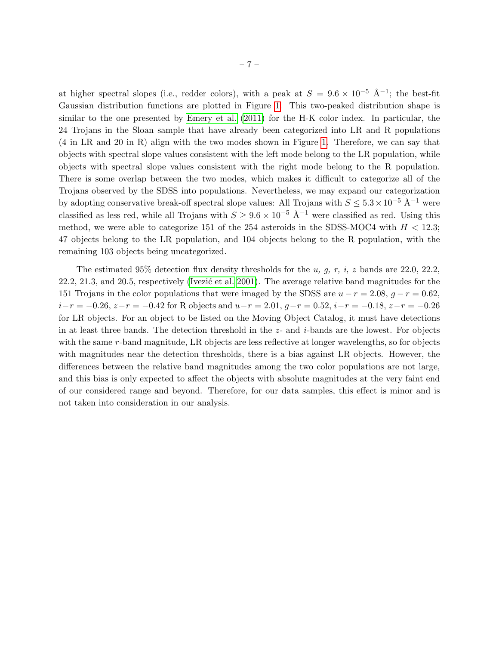at higher spectral slopes (i.e., redder colors), with a peak at  $S = 9.6 \times 10^{-5}$  Å<sup>-1</sup>; the best-fit Gaussian distribution functions are plotted in Figure [1.](#page-7-0) This two-peaked distribution shape is similar to the one presented by [Emery et al.](#page-23-3) [\(2011\)](#page-23-3) for the H-K color index. In particular, the 24 Trojans in the Sloan sample that have already been categorized into LR and R populations (4 in LR and 20 in R) align with the two modes shown in Figure [1.](#page-7-0) Therefore, we can say that objects with spectral slope values consistent with the left mode belong to the LR population, while objects with spectral slope values consistent with the right mode belong to the R population. There is some overlap between the two modes, which makes it difficult to categorize all of the Trojans observed by the SDSS into populations. Nevertheless, we may expand our categorization by adopting conservative break-off spectral slope values: All Trojans with  $S \leq 5.3 \times 10^{-5}$  Å<sup>-1</sup> were classified as less red, while all Trojans with  $S \geq 9.6 \times 10^{-5}$  Å<sup>-1</sup> were classified as red. Using this method, we were able to categorize 151 of the 254 asteroids in the SDSS-MOC4 with  $H < 12.3$ ; 47 objects belong to the LR population, and 104 objects belong to the R population, with the remaining 103 objects being uncategorized.

The estimated 95% detection flux density thresholds for the u, g, r, i, z bands are 22.0, 22.2,  $22.2, 21.3,$  and  $20.5$ , respectively (Ivezić et al. 2001). The average relative band magnitudes for the 151 Trojans in the color populations that were imaged by the SDSS are  $u - r = 2.08$ ,  $g - r = 0.62$ ,  $i-r = -0.26$ ,  $z-r = -0.42$  for R objects and  $u-r = 2.01$ ,  $g-r = 0.52$ ,  $i-r = -0.18$ ,  $z-r = -0.26$ for LR objects. For an object to be listed on the Moving Object Catalog, it must have detections in at least three bands. The detection threshold in the  $z$ - and  $i$ -bands are the lowest. For objects with the same r-band magnitude, LR objects are less reflective at longer wavelengths, so for objects with magnitudes near the detection thresholds, there is a bias against LR objects. However, the differences between the relative band magnitudes among the two color populations are not large, and this bias is only expected to affect the objects with absolute magnitudes at the very faint end of our considered range and beyond. Therefore, for our data samples, this effect is minor and is not taken into consideration in our analysis.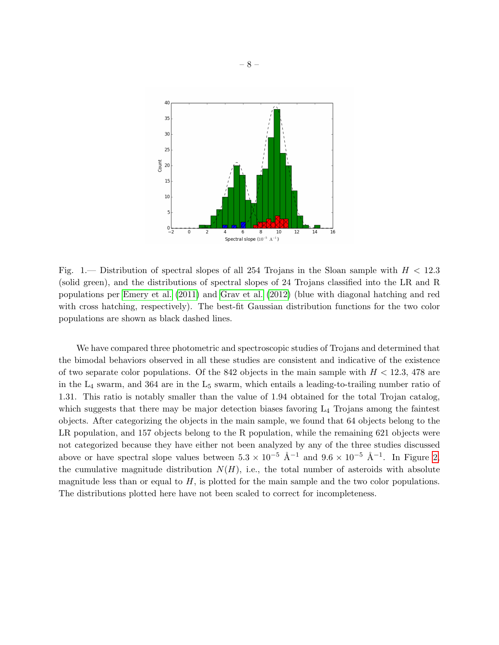

<span id="page-7-0"></span>Fig. 1.— Distribution of spectral slopes of all 254 Trojans in the Sloan sample with  $H < 12.3$ (solid green), and the distributions of spectral slopes of 24 Trojans classified into the LR and R populations per [Emery et al.](#page-23-3) [\(2011\)](#page-23-3) and [Grav et al.](#page-24-8) [\(2012\)](#page-24-8) (blue with diagonal hatching and red with cross hatching, respectively). The best-fit Gaussian distribution functions for the two color populations are shown as black dashed lines.

We have compared three photometric and spectroscopic studies of Trojans and determined that the bimodal behaviors observed in all these studies are consistent and indicative of the existence of two separate color populations. Of the 842 objects in the main sample with  $H < 12.3$ , 478 are in the  $L_4$  swarm, and 364 are in the  $L_5$  swarm, which entails a leading-to-trailing number ratio of 1.31. This ratio is notably smaller than the value of 1.94 obtained for the total Trojan catalog, which suggests that there may be major detection biases favoring  $L_4$  Trojans among the faintest objects. After categorizing the objects in the main sample, we found that 64 objects belong to the LR population, and 157 objects belong to the R population, while the remaining 621 objects were not categorized because they have either not been analyzed by any of the three studies discussed above or have spectral slope values between  $5.3 \times 10^{-5}$  Å<sup>-1</sup> and  $9.6 \times 10^{-5}$  Å<sup>-1</sup>. In Figure [2,](#page-8-0) the cumulative magnitude distribution  $N(H)$ , i.e., the total number of asteroids with absolute magnitude less than or equal to  $H$ , is plotted for the main sample and the two color populations. The distributions plotted here have not been scaled to correct for incompleteness.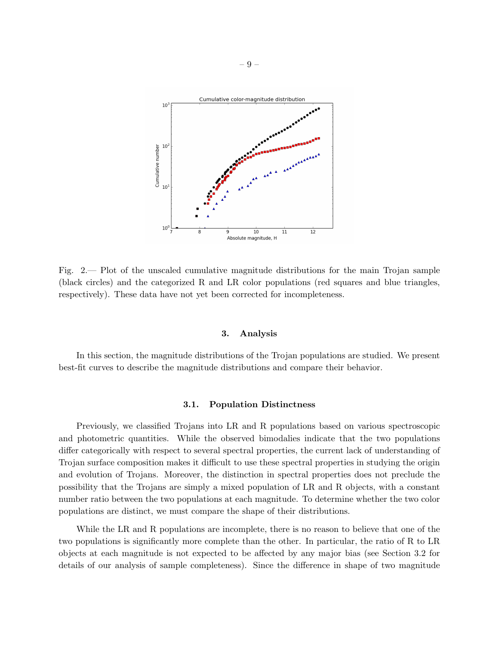

<span id="page-8-0"></span>Fig. 2.— Plot of the unscaled cumulative magnitude distributions for the main Trojan sample (black circles) and the categorized R and LR color populations (red squares and blue triangles, respectively). These data have not yet been corrected for incompleteness.

#### 3. Analysis

In this section, the magnitude distributions of the Trojan populations are studied. We present best-fit curves to describe the magnitude distributions and compare their behavior.

## 3.1. Population Distinctness

Previously, we classified Trojans into LR and R populations based on various spectroscopic and photometric quantities. While the observed bimodalies indicate that the two populations differ categorically with respect to several spectral properties, the current lack of understanding of Trojan surface composition makes it difficult to use these spectral properties in studying the origin and evolution of Trojans. Moreover, the distinction in spectral properties does not preclude the possibility that the Trojans are simply a mixed population of LR and R objects, with a constant number ratio between the two populations at each magnitude. To determine whether the two color populations are distinct, we must compare the shape of their distributions.

While the LR and R populations are incomplete, there is no reason to believe that one of the two populations is significantly more complete than the other. In particular, the ratio of R to LR objects at each magnitude is not expected to be affected by any major bias (see Section 3.2 for details of our analysis of sample completeness). Since the difference in shape of two magnitude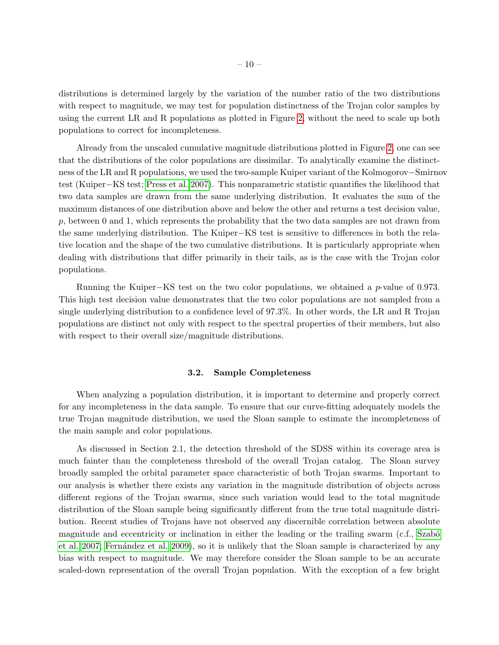distributions is determined largely by the variation of the number ratio of the two distributions with respect to magnitude, we may test for population distinctness of the Trojan color samples by using the current LR and R populations as plotted in Figure [2,](#page-8-0) without the need to scale up both populations to correct for incompleteness.

Already from the unscaled cumulative magnitude distributions plotted in Figure [2,](#page-8-0) one can see that the distributions of the color populations are dissimilar. To analytically examine the distinctness of the LR and R populations, we used the two-sample Kuiper variant of the Kolmogorov−Smirnov test (Kuiper−KS test; [Press et al. 2007\)](#page-24-11). This nonparametric statistic quantifies the likelihood that two data samples are drawn from the same underlying distribution. It evaluates the sum of the maximum distances of one distribution above and below the other and returns a test decision value,  $p$ , between 0 and 1, which represents the probability that the two data samples are not drawn from the same underlying distribution. The Kuiper−KS test is sensitive to differences in both the relative location and the shape of the two cumulative distributions. It is particularly appropriate when dealing with distributions that differ primarily in their tails, as is the case with the Trojan color populations.

Running the Kuiper–KS test on the two color populations, we obtained a p-value of 0.973. This high test decision value demonstrates that the two color populations are not sampled from a single underlying distribution to a confidence level of 97.3%. In other words, the LR and R Trojan populations are distinct not only with respect to the spectral properties of their members, but also with respect to their overall size/magnitude distributions.

## 3.2. Sample Completeness

When analyzing a population distribution, it is important to determine and properly correct for any incompleteness in the data sample. To ensure that our curve-fitting adequately models the true Trojan magnitude distribution, we used the Sloan sample to estimate the incompleteness of the main sample and color populations.

As discussed in Section 2.1, the detection threshold of the SDSS within its coverage area is much fainter than the completeness threshold of the overall Trojan catalog. The Sloan survey broadly sampled the orbital parameter space characteristic of both Trojan swarms. Important to our analysis is whether there exists any variation in the magnitude distribution of objects across different regions of the Trojan swarms, since such variation would lead to the total magnitude distribution of the Sloan sample being significantly different from the true total magnitude distribution. Recent studies of Trojans have not observed any discernible correlation between absolute magnitude and eccentricity or inclination in either the leading or the trailing swarm (c.f., Szabó [et al. 2007;](#page-25-0) Fernández et al. 2009), so it is unlikely that the Sloan sample is characterized by any bias with respect to magnitude. We may therefore consider the Sloan sample to be an accurate scaled-down representation of the overall Trojan population. With the exception of a few bright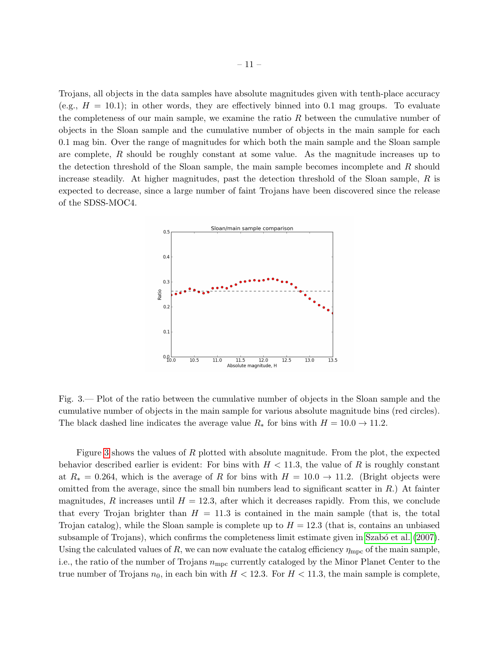Trojans, all objects in the data samples have absolute magnitudes given with tenth-place accuracy (e.g.,  $H = 10.1$ ); in other words, they are effectively binned into 0.1 mag groups. To evaluate the completeness of our main sample, we examine the ratio  $R$  between the cumulative number of objects in the Sloan sample and the cumulative number of objects in the main sample for each 0.1 mag bin. Over the range of magnitudes for which both the main sample and the Sloan sample are complete, R should be roughly constant at some value. As the magnitude increases up to the detection threshold of the Sloan sample, the main sample becomes incomplete and  $R$  should increase steadily. At higher magnitudes, past the detection threshold of the Sloan sample,  $R$  is expected to decrease, since a large number of faint Trojans have been discovered since the release of the SDSS-MOC4.



<span id="page-10-0"></span>Fig. 3.— Plot of the ratio between the cumulative number of objects in the Sloan sample and the cumulative number of objects in the main sample for various absolute magnitude bins (red circles). The black dashed line indicates the average value  $R_*$  for bins with  $H = 10.0 \rightarrow 11.2$ .

Figure [3](#page-10-0) shows the values of R plotted with absolute magnitude. From the plot, the expected behavior described earlier is evident: For bins with  $H < 11.3$ , the value of R is roughly constant at  $R_* = 0.264$ , which is the average of R for bins with  $H = 10.0 \rightarrow 11.2$ . (Bright objects were omitted from the average, since the small bin numbers lead to significant scatter in  $R$ .) At fainter magnitudes, R increases until  $H = 12.3$ , after which it decreases rapidly. From this, we conclude that every Trojan brighter than  $H = 11.3$  is contained in the main sample (that is, the total Trojan catalog), while the Sloan sample is complete up to  $H = 12.3$  (that is, contains an unbiased subsample of Trojans), which confirms the completeness limit estimate given in Szabó et al. [\(2007\)](#page-25-0). Using the calculated values of R, we can now evaluate the catalog efficiency  $\eta_{\text{mpc}}$  of the main sample, i.e., the ratio of the number of Trojans  $n_{\rm mpc}$  currently cataloged by the Minor Planet Center to the true number of Trojans  $n_0$ , in each bin with  $H < 12.3$ . For  $H < 11.3$ , the main sample is complete,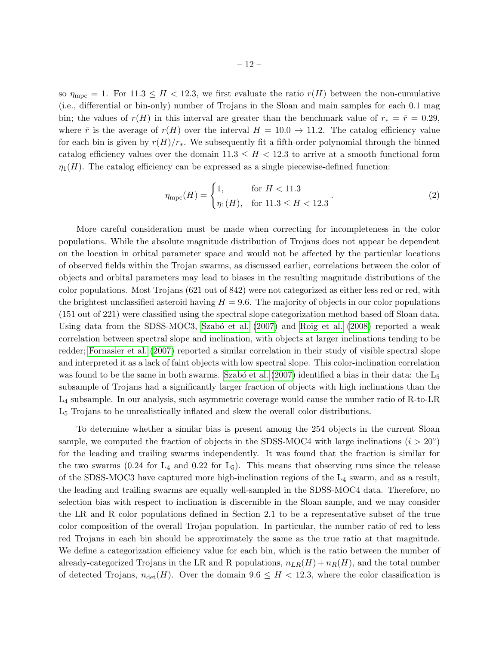so  $\eta_{\text{mpc}} = 1$ . For  $11.3 \leq H < 12.3$ , we first evaluate the ratio  $r(H)$  between the non-cumulative (i.e., differential or bin-only) number of Trojans in the Sloan and main samples for each 0.1 mag bin; the values of  $r(H)$  in this interval are greater than the benchmark value of  $r_* = \bar{r} = 0.29$ , where  $\bar{r}$  is the average of  $r(H)$  over the interval  $H = 10.0 \rightarrow 11.2$ . The catalog efficiency value for each bin is given by  $r(H)/r_*$ . We subsequently fit a fifth-order polynomial through the binned catalog efficiency values over the domain  $11.3 \leq H < 12.3$  to arrive at a smooth functional form  $\eta_1(H)$ . The catalog efficiency can be expressed as a single piecewise-defined function:

$$
\eta_{\rm mpc}(H) = \begin{cases} 1, & \text{for } H < 11.3 \\ \eta_1(H), & \text{for } 11.3 \le H < 12.3 \end{cases} \tag{2}
$$

More careful consideration must be made when correcting for incompleteness in the color populations. While the absolute magnitude distribution of Trojans does not appear be dependent on the location in orbital parameter space and would not be affected by the particular locations of observed fields within the Trojan swarms, as discussed earlier, correlations between the color of objects and orbital parameters may lead to biases in the resulting magnitude distributions of the color populations. Most Trojans (621 out of 842) were not categorized as either less red or red, with the brightest unclassified asteroid having  $H = 9.6$ . The majority of objects in our color populations (151 out of 221) were classified using the spectral slope categorization method based off Sloan data. Using data from the SDSS-MOC3, Szabó et al. [\(2007\)](#page-25-0) and [Roig et al.](#page-24-7) [\(2008\)](#page-24-7) reported a weak correlation between spectral slope and inclination, with objects at larger inclinations tending to be redder; [Fornasier et al.](#page-23-1) [\(2007\)](#page-23-1) reported a similar correlation in their study of visible spectral slope and interpreted it as a lack of faint objects with low spectral slope. This color-inclination correlation was found to be the same in both swarms. Szabó et al. [\(2007\)](#page-25-0) identified a bias in their data: the  $L_5$ subsample of Trojans had a significantly larger fraction of objects with high inclinations than the L<sup>4</sup> subsample. In our analysis, such asymmetric coverage would cause the number ratio of R-to-LR L<sup>5</sup> Trojans to be unrealistically inflated and skew the overall color distributions.

To determine whether a similar bias is present among the 254 objects in the current Sloan sample, we computed the fraction of objects in the SDSS-MOC4 with large inclinations  $(i > 20°)$ for the leading and trailing swarms independently. It was found that the fraction is similar for the two swarms (0.24 for  $L_4$  and 0.22 for  $L_5$ ). This means that observing runs since the release of the SDSS-MOC3 have captured more high-inclination regions of the  $L_4$  swarm, and as a result, the leading and trailing swarms are equally well-sampled in the SDSS-MOC4 data. Therefore, no selection bias with respect to inclination is discernible in the Sloan sample, and we may consider the LR and R color populations defined in Section 2.1 to be a representative subset of the true color composition of the overall Trojan population. In particular, the number ratio of red to less red Trojans in each bin should be approximately the same as the true ratio at that magnitude. We define a categorization efficiency value for each bin, which is the ratio between the number of already-categorized Trojans in the LR and R populations,  $n_{LR}(H) + n_R(H)$ , and the total number of detected Trojans,  $n_{\text{det}}(H)$ . Over the domain  $9.6 \leq H < 12.3$ , where the color classification is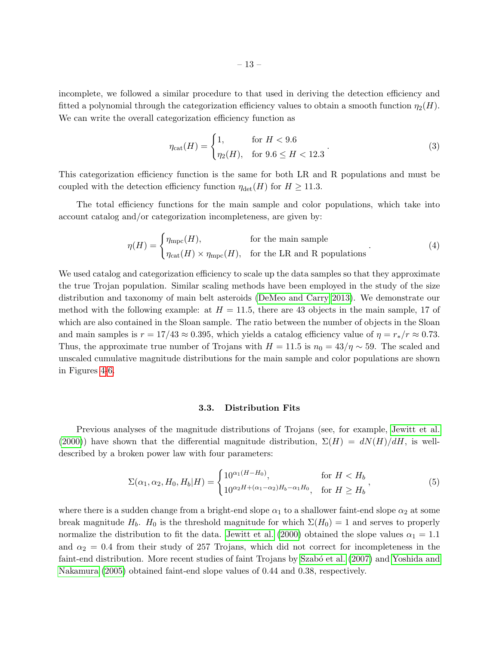incomplete, we followed a similar procedure to that used in deriving the detection efficiency and fitted a polynomial through the categorization efficiency values to obtain a smooth function  $\eta_2(H)$ . We can write the overall categorization efficiency function as

$$
\eta_{\text{cat}}(H) = \begin{cases} 1, & \text{for } H < 9.6 \\ \eta_2(H), & \text{for } 9.6 \le H < 12.3 \end{cases} \tag{3}
$$

This categorization efficiency function is the same for both LR and R populations and must be coupled with the detection efficiency function  $\eta_{\det}(H)$  for  $H \geq 11.3$ .

The total efficiency functions for the main sample and color populations, which take into account catalog and/or categorization incompleteness, are given by:

<span id="page-12-1"></span>
$$
\eta(H) = \begin{cases} \eta_{\text{mpc}}(H), & \text{for the main sample} \\ \eta_{\text{cat}}(H) \times \eta_{\text{mpc}}(H), & \text{for the LR and R populations} \end{cases}
$$
 (4)

We used catalog and categorization efficiency to scale up the data samples so that they approximate the true Trojan population. Similar scaling methods have been employed in the study of the size distribution and taxonomy of main belt asteroids [\(DeMeo and Carry 2013\)](#page-23-5). We demonstrate our method with the following example: at  $H = 11.5$ , there are 43 objects in the main sample, 17 of which are also contained in the Sloan sample. The ratio between the number of objects in the Sloan and main samples is  $r = 17/43 \approx 0.395$ , which yields a catalog efficiency value of  $\eta = r_*/r \approx 0.73$ . Thus, the approximate true number of Trojans with  $H = 11.5$  is  $n_0 = 43/\eta \sim 59$ . The scaled and unscaled cumulative magnitude distributions for the main sample and color populations are shown in Figures [4-](#page-14-0)[6.](#page-15-0)

#### 3.3. Distribution Fits

Previous analyses of the magnitude distributions of Trojans (see, for example, [Jewitt et al.](#page-24-12) [\(2000\)](#page-24-12)) have shown that the differential magnitude distribution,  $\Sigma(H) = dN(H)/dH$ , is welldescribed by a broken power law with four parameters:

<span id="page-12-0"></span>
$$
\Sigma(\alpha_1, \alpha_2, H_0, H_b | H) = \begin{cases} 10^{\alpha_1(H - H_0)}, & \text{for } H < H_b \\ 10^{\alpha_2 H + (\alpha_1 - \alpha_2)H_b - \alpha_1 H_0}, & \text{for } H \ge H_b \end{cases}
$$
(5)

where there is a sudden change from a bright-end slope  $\alpha_1$  to a shallower faint-end slope  $\alpha_2$  at some break magnitude  $H_b$ .  $H_0$  is the threshold magnitude for which  $\Sigma(H_0) = 1$  and serves to properly normalize the distribution to fit the data. [Jewitt et al.](#page-24-12) [\(2000\)](#page-24-12) obtained the slope values  $\alpha_1 = 1.1$ and  $\alpha_2 = 0.4$  from their study of 257 Trojans, which did not correct for incompleteness in the faint-end distribution. More recent studies of faint Trojans by Szabó et al. [\(2007\)](#page-25-0) and [Yoshida and](#page-25-3) [Nakamura](#page-25-3) [\(2005\)](#page-25-3) obtained faint-end slope values of 0.44 and 0.38, respectively.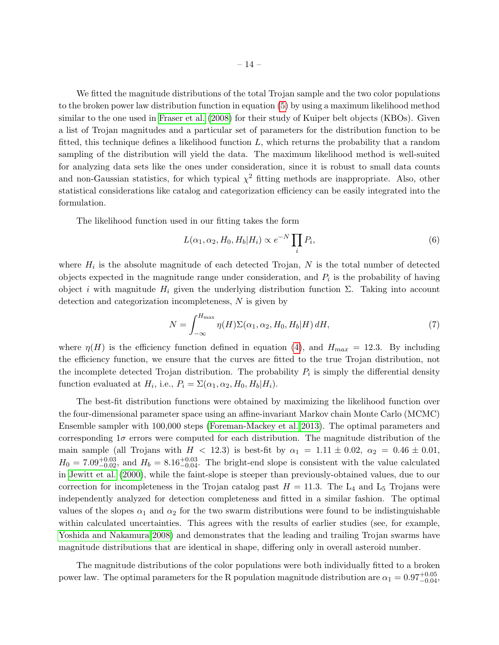We fitted the magnitude distributions of the total Trojan sample and the two color populations to the broken power law distribution function in equation [\(5\)](#page-12-0) by using a maximum likelihood method similar to the one used in [Fraser et al.](#page-24-13) [\(2008\)](#page-24-13) for their study of Kuiper belt objects (KBOs). Given a list of Trojan magnitudes and a particular set of parameters for the distribution function to be fitted, this technique defines a likelihood function  $L$ , which returns the probability that a random sampling of the distribution will yield the data. The maximum likelihood method is well-suited for analyzing data sets like the ones under consideration, since it is robust to small data counts and non-Gaussian statistics, for which typical  $\chi^2$  fitting methods are inappropriate. Also, other statistical considerations like catalog and categorization efficiency can be easily integrated into the formulation.

The likelihood function used in our fitting takes the form

$$
L(\alpha_1, \alpha_2, H_0, H_b | H_i) \propto e^{-N} \prod_i P_i,
$$
\n(6)

where  $H_i$  is the absolute magnitude of each detected Trojan, N is the total number of detected objects expected in the magnitude range under consideration, and  $P_i$  is the probability of having object i with magnitude  $H_i$  given the underlying distribution function Σ. Taking into account detection and categorization incompleteness, N is given by

$$
N = \int_{-\infty}^{H_{\text{max}}} \eta(H) \Sigma(\alpha_1, \alpha_2, H_0, H_b | H) dH,
$$
\n(7)

where  $\eta(H)$  is the efficiency function defined in equation [\(4\)](#page-12-1), and  $H_{max} = 12.3$ . By including the efficiency function, we ensure that the curves are fitted to the true Trojan distribution, not the incomplete detected Trojan distribution. The probability  $P_i$  is simply the differential density function evaluated at  $H_i$ , i.e.,  $P_i = \Sigma(\alpha_1, \alpha_2, H_0, H_b | H_i)$ .

The best-fit distribution functions were obtained by maximizing the likelihood function over the four-dimensional parameter space using an affine-invariant Markov chain Monte Carlo (MCMC) Ensemble sampler with 100,000 steps [\(Foreman-Mackey et al. 2013\)](#page-23-6). The optimal parameters and corresponding  $1\sigma$  errors were computed for each distribution. The magnitude distribution of the main sample (all Trojans with  $H < 12.3$ ) is best-fit by  $\alpha_1 = 1.11 \pm 0.02$ ,  $\alpha_2 = 0.46 \pm 0.01$ ,  $H_0 = 7.09_{-0.02}^{+0.03}$ , and  $H_b = 8.16_{-0.04}^{+0.03}$ . The bright-end slope is consistent with the value calculated in [Jewitt et al.](#page-24-12) [\(2000\)](#page-24-12), while the faint-slope is steeper than previously-obtained values, due to our correction for incompleteness in the Trojan catalog past  $H = 11.3$ . The L<sub>4</sub> and L<sub>5</sub> Trojans were independently analyzed for detection completeness and fitted in a similar fashion. The optimal values of the slopes  $\alpha_1$  and  $\alpha_2$  for the two swarm distributions were found to be indistinguishable within calculated uncertainties. This agrees with the results of earlier studies (see, for example, [Yoshida and Nakamura 2008\)](#page-25-4) and demonstrates that the leading and trailing Trojan swarms have magnitude distributions that are identical in shape, differing only in overall asteroid number.

The magnitude distributions of the color populations were both individually fitted to a broken power law. The optimal parameters for the R population magnitude distribution are  $\alpha_1 = 0.97^{+0.05}_{-0.04}$ ,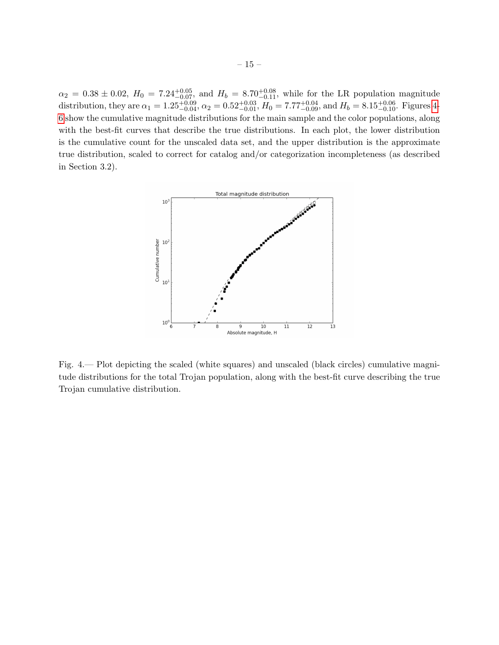$\alpha_2 = 0.38 \pm 0.02$ ,  $H_0 = 7.24_{-0.07}^{+0.05}$ , and  $H_b = 8.70_{-0.11}^{+0.08}$ , while for the LR population magnitude distribution, they are  $\alpha_1 = 1.25^{+0.09}_{-0.04}$ ,  $\alpha_2 = 0.52^{+0.03}_{-0.01}$ ,  $H_0 = 7.77^{+0.04}_{-0.09}$ , and  $H_b = 8.15^{+0.06}_{-0.10}$ . Figures [4-](#page-14-0) [6](#page-15-0) show the cumulative magnitude distributions for the main sample and the color populations, along with the best-fit curves that describe the true distributions. In each plot, the lower distribution is the cumulative count for the unscaled data set, and the upper distribution is the approximate true distribution, scaled to correct for catalog and/or categorization incompleteness (as described in Section 3.2).



<span id="page-14-0"></span>Fig. 4.— Plot depicting the scaled (white squares) and unscaled (black circles) cumulative magnitude distributions for the total Trojan population, along with the best-fit curve describing the true Trojan cumulative distribution.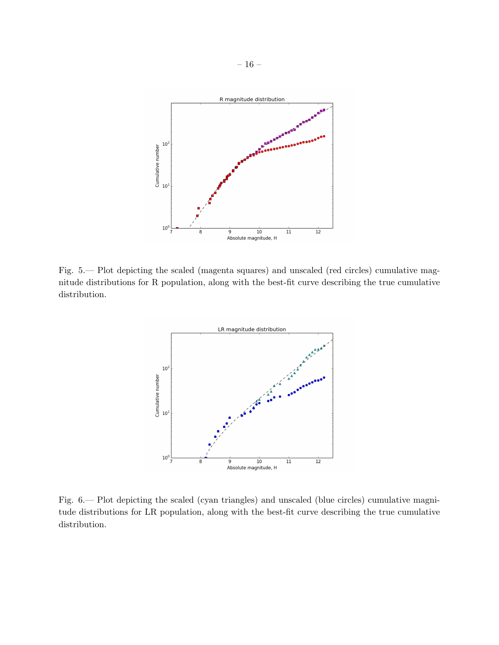

Fig. 5.— Plot depicting the scaled (magenta squares) and unscaled (red circles) cumulative magnitude distributions for R population, along with the best-fit curve describing the true cumulative distribution.



<span id="page-15-0"></span>Fig. 6.— Plot depicting the scaled (cyan triangles) and unscaled (blue circles) cumulative magnitude distributions for LR population, along with the best-fit curve describing the true cumulative distribution.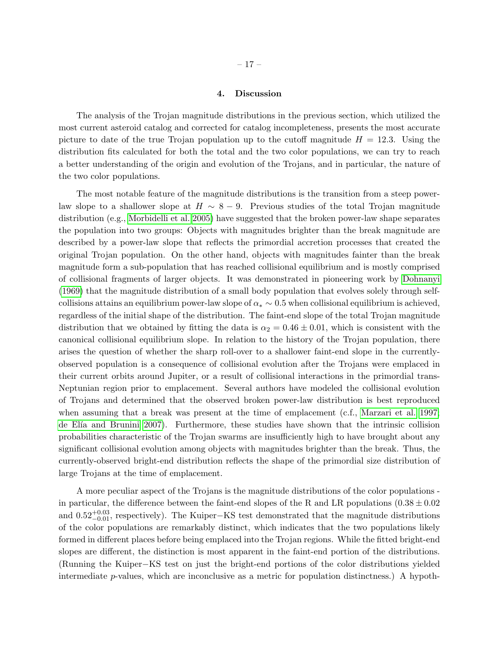## 4. Discussion

The analysis of the Trojan magnitude distributions in the previous section, which utilized the most current asteroid catalog and corrected for catalog incompleteness, presents the most accurate picture to date of the true Trojan population up to the cutoff magnitude  $H = 12.3$ . Using the distribution fits calculated for both the total and the two color populations, we can try to reach a better understanding of the origin and evolution of the Trojans, and in particular, the nature of the two color populations.

The most notable feature of the magnitude distributions is the transition from a steep powerlaw slope to a shallower slope at  $H \sim 8 - 9$ . Previous studies of the total Trojan magnitude distribution (e.g., [Morbidelli et al. 2005\)](#page-24-5) have suggested that the broken power-law shape separates the population into two groups: Objects with magnitudes brighter than the break magnitude are described by a power-law slope that reflects the primordial accretion processes that created the original Trojan population. On the other hand, objects with magnitudes fainter than the break magnitude form a sub-population that has reached collisional equilibrium and is mostly comprised of collisional fragments of larger objects. It was demonstrated in pioneering work by [Dohnanyi](#page-23-7) [\(1969\)](#page-23-7) that the magnitude distribution of a small body population that evolves solely through selfcollisions attains an equilibrium power-law slope of  $\alpha_* \sim 0.5$  when collisional equilibrium is achieved, regardless of the initial shape of the distribution. The faint-end slope of the total Trojan magnitude distribution that we obtained by fitting the data is  $\alpha_2 = 0.46 \pm 0.01$ , which is consistent with the canonical collisional equilibrium slope. In relation to the history of the Trojan population, there arises the question of whether the sharp roll-over to a shallower faint-end slope in the currentlyobserved population is a consequence of collisional evolution after the Trojans were emplaced in their current orbits around Jupiter, or a result of collisional interactions in the primordial trans-Neptunian region prior to emplacement. Several authors have modeled the collisional evolution of Trojans and determined that the observed broken power-law distribution is best reproduced when assuming that a break was present at the time of emplacement (c.f., [Marzari et al. 1997;](#page-24-2) de Elía and Brunini 2007). Furthermore, these studies have shown that the intrinsic collision probabilities characteristic of the Trojan swarms are insufficiently high to have brought about any significant collisional evolution among objects with magnitudes brighter than the break. Thus, the currently-observed bright-end distribution reflects the shape of the primordial size distribution of large Trojans at the time of emplacement.

A more peculiar aspect of the Trojans is the magnitude distributions of the color populations in particular, the difference between the faint-end slopes of the R and LR populations  $(0.38 \pm 0.02)$ and  $0.52^{+0.03}_{-0.01}$ , respectively). The Kuiper–KS test demonstrated that the magnitude distributions of the color populations are remarkably distinct, which indicates that the two populations likely formed in different places before being emplaced into the Trojan regions. While the fitted bright-end slopes are different, the distinction is most apparent in the faint-end portion of the distributions. (Running the Kuiper−KS test on just the bright-end portions of the color distributions yielded intermediate  $p$ -values, which are inconclusive as a metric for population distinctness.) A hypoth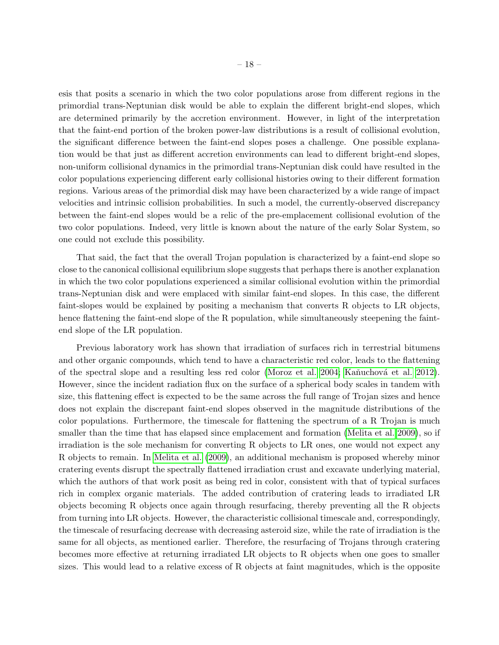esis that posits a scenario in which the two color populations arose from different regions in the primordial trans-Neptunian disk would be able to explain the different bright-end slopes, which are determined primarily by the accretion environment. However, in light of the interpretation that the faint-end portion of the broken power-law distributions is a result of collisional evolution, the significant difference between the faint-end slopes poses a challenge. One possible explanation would be that just as different accretion environments can lead to different bright-end slopes, non-uniform collisional dynamics in the primordial trans-Neptunian disk could have resulted in the color populations experiencing different early collisional histories owing to their different formation regions. Various areas of the primordial disk may have been characterized by a wide range of impact velocities and intrinsic collision probabilities. In such a model, the currently-observed discrepancy between the faint-end slopes would be a relic of the pre-emplacement collisional evolution of the two color populations. Indeed, very little is known about the nature of the early Solar System, so one could not exclude this possibility.

That said, the fact that the overall Trojan population is characterized by a faint-end slope so close to the canonical collisional equilibrium slope suggests that perhaps there is another explanation in which the two color populations experienced a similar collisional evolution within the primordial trans-Neptunian disk and were emplaced with similar faint-end slopes. In this case, the different faint-slopes would be explained by positing a mechanism that converts R objects to LR objects, hence flattening the faint-end slope of the R population, while simultaneously steepening the faintend slope of the LR population.

Previous laboratory work has shown that irradiation of surfaces rich in terrestrial bitumens and other organic compounds, which tend to have a characteristic red color, leads to the flattening of the spectral slope and a resulting less red color [\(Moroz et al. 2004;](#page-24-14) Kaňuchová et al. 2012). However, since the incident radiation flux on the surface of a spherical body scales in tandem with size, this flattening effect is expected to be the same across the full range of Trojan sizes and hence does not explain the discrepant faint-end slopes observed in the magnitude distributions of the color populations. Furthermore, the timescale for flattening the spectrum of a R Trojan is much smaller than the time that has elapsed since emplacement and formation [\(Melita et al. 2009\)](#page-24-16), so if irradiation is the sole mechanism for converting R objects to LR ones, one would not expect any R objects to remain. In [Melita et al.](#page-24-16) [\(2009\)](#page-24-16), an additional mechanism is proposed whereby minor cratering events disrupt the spectrally flattened irradiation crust and excavate underlying material, which the authors of that work posit as being red in color, consistent with that of typical surfaces rich in complex organic materials. The added contribution of cratering leads to irradiated LR objects becoming R objects once again through resurfacing, thereby preventing all the R objects from turning into LR objects. However, the characteristic collisional timescale and, correspondingly, the timescale of resurfacing decrease with decreasing asteroid size, while the rate of irradiation is the same for all objects, as mentioned earlier. Therefore, the resurfacing of Trojans through cratering becomes more effective at returning irradiated LR objects to R objects when one goes to smaller sizes. This would lead to a relative excess of R objects at faint magnitudes, which is the opposite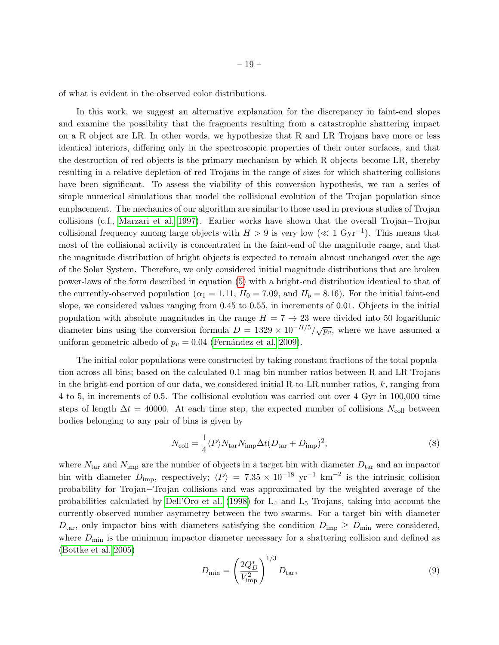of what is evident in the observed color distributions.

In this work, we suggest an alternative explanation for the discrepancy in faint-end slopes and examine the possibility that the fragments resulting from a catastrophic shattering impact on a R object are LR. In other words, we hypothesize that R and LR Trojans have more or less identical interiors, differing only in the spectroscopic properties of their outer surfaces, and that the destruction of red objects is the primary mechanism by which R objects become LR, thereby resulting in a relative depletion of red Trojans in the range of sizes for which shattering collisions have been significant. To assess the viability of this conversion hypothesis, we ran a series of simple numerical simulations that model the collisional evolution of the Trojan population since emplacement. The mechanics of our algorithm are similar to those used in previous studies of Trojan collisions (c.f., [Marzari et al. 1997\)](#page-24-2). Earlier works have shown that the overall Trojan−Trojan collisional frequency among large objects with  $H > 9$  is very low ( $\ll 1 \text{ Gyr}^{-1}$ ). This means that most of the collisional activity is concentrated in the faint-end of the magnitude range, and that the magnitude distribution of bright objects is expected to remain almost unchanged over the age of the Solar System. Therefore, we only considered initial magnitude distributions that are broken power-laws of the form described in equation [\(5\)](#page-12-0) with a bright-end distribution identical to that of the currently-observed population ( $\alpha_1 = 1.11$ ,  $H_0 = 7.09$ , and  $H_b = 8.16$ ). For the initial faint-end slope, we considered values ranging from 0.45 to 0.55, in increments of 0.01. Objects in the initial population with absolute magnitudes in the range  $H = 7 \rightarrow 23$  were divided into 50 logarithmic diameter bins using the conversion formula  $D = 1329 \times 10^{-H/5}/\sqrt{p_v}$ , where we have assumed a uniform geometric albedo of  $p_v = 0.04$  (Fernández et al. 2009).

The initial color populations were constructed by taking constant fractions of the total population across all bins; based on the calculated 0.1 mag bin number ratios between R and LR Trojans in the bright-end portion of our data, we considered initial R-to-LR number ratios,  $k$ , ranging from 4 to 5, in increments of 0.5. The collisional evolution was carried out over 4 Gyr in 100,000 time steps of length  $\Delta t = 40000$ . At each time step, the expected number of collisions N<sub>coll</sub> between bodies belonging to any pair of bins is given by

$$
N_{\text{coll}} = \frac{1}{4} \langle P \rangle N_{\text{tar}} N_{\text{imp}} \Delta t (D_{\text{tar}} + D_{\text{imp}})^2,
$$
\n(8)

where  $N_{\text{tar}}$  and  $N_{\text{imp}}$  are the number of objects in a target bin with diameter  $D_{\text{tar}}$  and an impactor bin with diameter  $D_{\text{imp}}$ , respectively;  $\langle P \rangle = 7.35 \times 10^{-18} \text{ yr}^{-1} \text{ km}^{-2}$  is the intrinsic collision probability for Trojan−Trojan collisions and was approximated by the weighted average of the probabilities calculated by [Dell'Oro et al.](#page-23-9)  $(1998)$  for  $L_4$  and  $L_5$  Trojans, taking into account the currently-observed number asymmetry between the two swarms. For a target bin with diameter  $D_{\text{tar}}$ , only impactor bins with diameters satisfying the condition  $D_{\text{imp}} \ge D_{\text{min}}$  were considered, where  $D_{\min}$  is the minimum impactor diameter necessary for a shattering collision and defined as [\(Bottke et al. 2005\)](#page-23-10)

$$
D_{\min} = \left(\frac{2Q_D^*}{V_{\text{imp}}^2}\right)^{1/3} D_{\text{tar}},\tag{9}
$$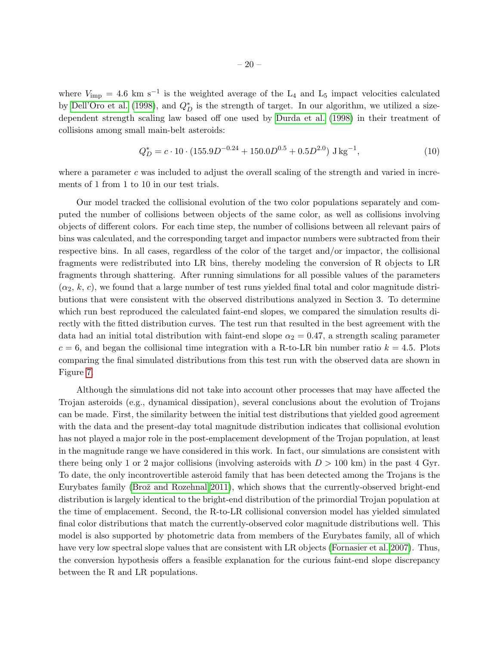where  $V_{\text{imp}} = 4.6 \text{ km s}^{-1}$  is the weighted average of the L<sub>4</sub> and L<sub>5</sub> impact velocities calculated by [Dell'Oro et al.](#page-23-9) [\(1998\)](#page-23-9), and  $Q_D^*$  is the strength of target. In our algorithm, we utilized a sizedependent strength scaling law based off one used by [Durda et al.](#page-23-11) [\(1998\)](#page-23-11) in their treatment of collisions among small main-belt asteroids:

$$
Q_D^* = c \cdot 10 \cdot (155.9D^{-0.24} + 150.0D^{0.5} + 0.5D^{2.0}) \text{ J kg}^{-1},\tag{10}
$$

where a parameter  $c$  was included to adjust the overall scaling of the strength and varied in increments of 1 from 1 to 10 in our test trials.

Our model tracked the collisional evolution of the two color populations separately and computed the number of collisions between objects of the same color, as well as collisions involving objects of different colors. For each time step, the number of collisions between all relevant pairs of bins was calculated, and the corresponding target and impactor numbers were subtracted from their respective bins. In all cases, regardless of the color of the target and/or impactor, the collisional fragments were redistributed into LR bins, thereby modeling the conversion of R objects to LR fragments through shattering. After running simulations for all possible values of the parameters  $(\alpha_2, k, c)$ , we found that a large number of test runs yielded final total and color magnitude distributions that were consistent with the observed distributions analyzed in Section 3. To determine which run best reproduced the calculated faint-end slopes, we compared the simulation results directly with the fitted distribution curves. The test run that resulted in the best agreement with the data had an initial total distribution with faint-end slope  $\alpha_2 = 0.47$ , a strength scaling parameter  $c = 6$ , and began the collisional time integration with a R-to-LR bin number ratio  $k = 4.5$ . Plots comparing the final simulated distributions from this test run with the observed data are shown in Figure [7.](#page-22-0)

Although the simulations did not take into account other processes that may have affected the Trojan asteroids (e.g., dynamical dissipation), several conclusions about the evolution of Trojans can be made. First, the similarity between the initial test distributions that yielded good agreement with the data and the present-day total magnitude distribution indicates that collisional evolution has not played a major role in the post-emplacement development of the Trojan population, at least in the magnitude range we have considered in this work. In fact, our simulations are consistent with there being only 1 or 2 major collisions (involving asteroids with  $D > 100 \text{ km}$ ) in the past 4 Gyr. To date, the only incontrovertible asteroid family that has been detected among the Trojans is the Eurybates family (Brož and Rozehnal 2011), which shows that the currently-observed bright-end distribution is largely identical to the bright-end distribution of the primordial Trojan population at the time of emplacement. Second, the R-to-LR collisional conversion model has yielded simulated final color distributions that match the currently-observed color magnitude distributions well. This model is also supported by photometric data from members of the Eurybates family, all of which have very low spectral slope values that are consistent with LR objects [\(Fornasier et al. 2007\)](#page-23-1). Thus, the conversion hypothesis offers a feasible explanation for the curious faint-end slope discrepancy between the R and LR populations.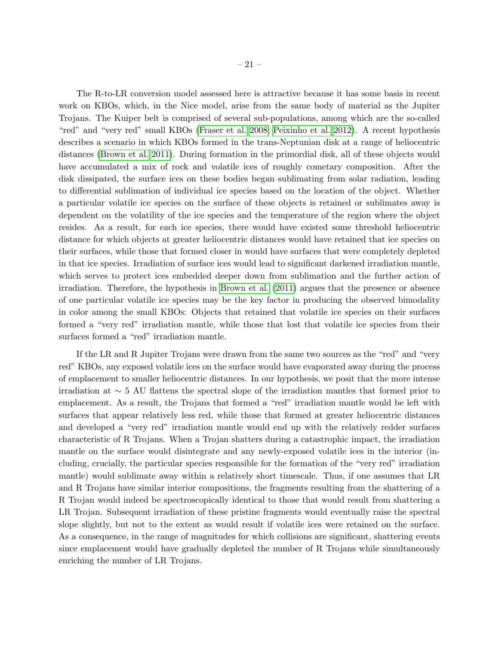The R-to-LR conversion model assessed here is attractive because it has some basis in recent work on KBOs, which, in the Nice model, arise from the same body of material as the Jupiter Trojans. The Kuiper belt is comprised of several sub-populations, among which are the so-called "red" and "very red" small KBOs [\(Fraser et al. 2008;](#page-24-13) [Peixinho et al. 2012\)](#page-24-17). A recent hypothesis describes a scenario in which KBOs formed in the trans-Neptunian disk at a range of heliocentric distances [\(Brown et al. 2011\)](#page-23-13). During formation in the primordial disk, all of these objects would have accumulated a mix of rock and volatile ices of roughly cometary composition. After the disk dissipated, the surface ices on these bodies began sublimating from solar radiation, leading to differential sublimation of individual ice species based on the location of the object. Whether a particular volatile ice species on the surface of these objects is retained or sublimates away is dependent on the volatility of the ice species and the temperature of the region where the object resides. As a result, for each ice species, there would have existed some threshold heliocentric distance for which objects at greater heliocentric distances would have retained that ice species on their surfaces, while those that formed closer in would have surfaces that were completely depleted in that ice species. Irradiation of surface ices would lead to significant darkened irradiation mantle, which serves to protect ices embedded deeper down from sublimation and the further action of irradiation. Therefore, the hypothesis in [Brown et al.](#page-23-13) [\(2011\)](#page-23-13) argues that the presence or absence of one particular volatile ice species may be the key factor in producing the observed bimodality in color among the small KBOs: Objects that retained that volatile ice species on their surfaces formed a "very red" irradiation mantle, while those that lost that volatile ice species from their surfaces formed a "red" irradiation mantle.

If the LR and R Jupiter Trojans were drawn from the same two sources as the "red" and "very red" KBOs, any exposed volatile ices on the surface would have evaporated away during the process of emplacement to smaller heliocentric distances. In our hypothesis, we posit that the more intense irradiation at ∼ 5 AU flattens the spectral slope of the irradiation mantles that formed prior to emplacement. As a result, the Trojans that formed a "red" irradiation mantle would be left with surfaces that appear relatively less red, while those that formed at greater heliocentric distances and developed a "very red" irradiation mantle would end up with the relatively redder surfaces characteristic of R Trojans. When a Trojan shatters during a catastrophic impact, the irradiation mantle on the surface would disintegrate and any newly-exposed volatile ices in the interior (including, crucially, the particular species responsible for the formation of the "very red" irradiation mantle) would sublimate away within a relatively short timescale. Thus, if one assumes that LR and R Trojans have similar interior compositions, the fragments resulting from the shattering of a R Trojan would indeed be spectroscopically identical to those that would result from shattering a LR Trojan. Subsequent irradiation of these pristine fragments would eventually raise the spectral slope slightly, but not to the extent as would result if volatile ices were retained on the surface. As a consequence, in the range of magnitudes for which collisions are significant, shattering events since emplacement would have gradually depleted the number of R Trojans while simultaneously enriching the number of LR Trojans.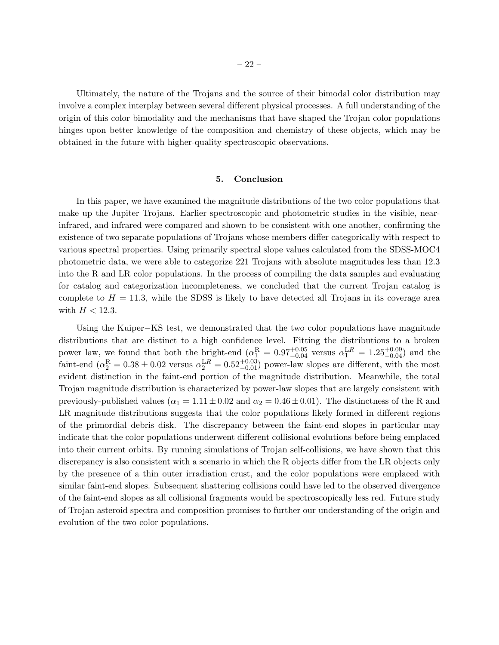Ultimately, the nature of the Trojans and the source of their bimodal color distribution may involve a complex interplay between several different physical processes. A full understanding of the origin of this color bimodality and the mechanisms that have shaped the Trojan color populations hinges upon better knowledge of the composition and chemistry of these objects, which may be obtained in the future with higher-quality spectroscopic observations.

# 5. Conclusion

In this paper, we have examined the magnitude distributions of the two color populations that make up the Jupiter Trojans. Earlier spectroscopic and photometric studies in the visible, nearinfrared, and infrared were compared and shown to be consistent with one another, confirming the existence of two separate populations of Trojans whose members differ categorically with respect to various spectral properties. Using primarily spectral slope values calculated from the SDSS-MOC4 photometric data, we were able to categorize 221 Trojans with absolute magnitudes less than 12.3 into the R and LR color populations. In the process of compiling the data samples and evaluating for catalog and categorization incompleteness, we concluded that the current Trojan catalog is complete to  $H = 11.3$ , while the SDSS is likely to have detected all Trojans in its coverage area with  $H < 12.3$ .

Using the Kuiper−KS test, we demonstrated that the two color populations have magnitude distributions that are distinct to a high confidence level. Fitting the distributions to a broken power law, we found that both the bright-end  $(\alpha_1^R = 0.97^{+0.05}_{-0.04}$  versus  $\alpha_1^{LR} = 1.25^{+0.09}_{-0.04}$  and the faint-end  $(\alpha_2^R = 0.38 \pm 0.02 \text{ versus } \alpha_2^{LR} = 0.52_{-0.01}^{+0.03})$  power-law slopes are different, with the most evident distinction in the faint-end portion of the magnitude distribution. Meanwhile, the total Trojan magnitude distribution is characterized by power-law slopes that are largely consistent with previously-published values ( $\alpha_1 = 1.11 \pm 0.02$  and  $\alpha_2 = 0.46 \pm 0.01$ ). The distinctness of the R and LR magnitude distributions suggests that the color populations likely formed in different regions of the primordial debris disk. The discrepancy between the faint-end slopes in particular may indicate that the color populations underwent different collisional evolutions before being emplaced into their current orbits. By running simulations of Trojan self-collisions, we have shown that this discrepancy is also consistent with a scenario in which the R objects differ from the LR objects only by the presence of a thin outer irradiation crust, and the color populations were emplaced with similar faint-end slopes. Subsequent shattering collisions could have led to the observed divergence of the faint-end slopes as all collisional fragments would be spectroscopically less red. Future study of Trojan asteroid spectra and composition promises to further our understanding of the origin and evolution of the two color populations.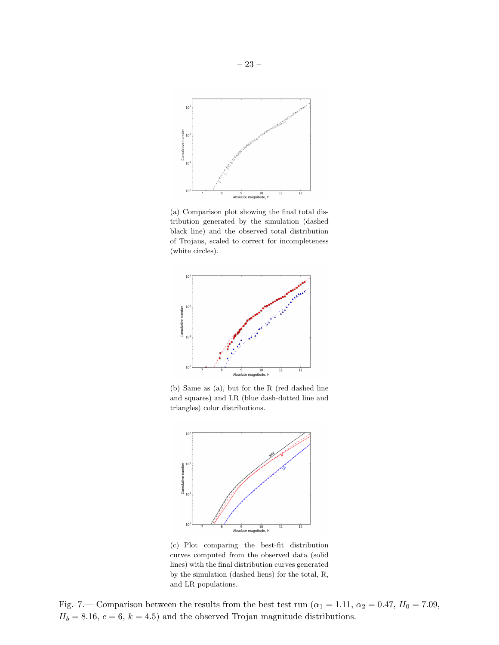

(a) Comparison plot showing the final total distribution generated by the simulation (dashed black line) and the observed total distribution of Trojans, scaled to correct for incompleteness (white circles).



(b) Same as (a), but for the R (red dashed line and squares) and LR (blue dash-dotted line and triangles) color distributions.



(c) Plot comparing the best-fit distribution curves computed from the observed data (solid lines) with the final distribution curves generated by the simulation (dashed liens) for the total, R, and LR populations.

<span id="page-22-0"></span>Fig. 7.— Comparison between the results from the best test run ( $\alpha_1 = 1.11$ ,  $\alpha_2 = 0.47$ ,  $H_0 = 7.09$ ,  $H_b = 8.16, c = 6, k = 4.5$  and the observed Trojan magnitude distributions.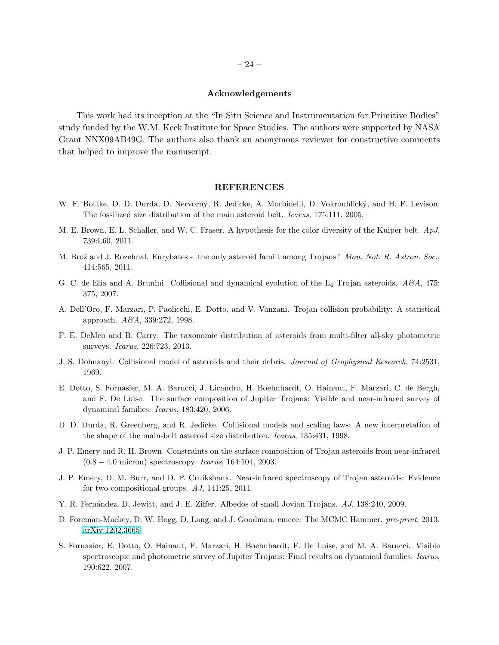## Acknowledgements

This work had its inception at the "In Situ Science and Instrumentation for Primitive Bodies" study funded by the W.M. Keck Institute for Space Studies. The authors were supported by NASA Grant NNX09AB49G. The authors also thank an anonymous reviewer for constructive comments that helped to improve the manuscript.

## REFERENCES

- <span id="page-23-10"></span>W. F. Bottke, D. D. Durda, D. Nervorný, R. Jedicke, A. Morbidelli, D. Vokrouhlický, and H. F. Levison. The fossilized size distribution of the main asteroid belt. Icarus, 175:111, 2005.
- <span id="page-23-13"></span>M. E. Brown, E. L. Schaller, and W. C. Fraser. A hypothesis for the color diversity of the Kuiper belt. ApJ, 739:L60, 2011.
- <span id="page-23-12"></span>M. Brož and J. Rozehnal. Eurybates - the only asteroid familt among Trojans? Mon. Not. R. Astron. Soc., 414:565, 2011.
- <span id="page-23-8"></span>G. C. de Elía and A. Brunini. Collisional and dynamical evolution of the  $L_4$  Trojan asteroids.  $A\mathcal{C}A$ , 475: 375, 2007.
- <span id="page-23-9"></span>A. Dell'Oro, F. Marzari, P. Paolicchi, E. Dotto, and V. Vanzani. Trojan collision probability: A statistical approach. A&A, 339:272, 1998.
- <span id="page-23-5"></span>F. E. DeMeo and B. Carry. The taxonomic distribution of asteroids from multi-filter all-sky photometric surveys. Icarus, 226:723, 2013.
- <span id="page-23-7"></span>J. S. Dohnanyi. Collisional model of asteroids and their debris. Journal of Geophysical Research, 74:2531, 1969.
- <span id="page-23-0"></span>E. Dotto, S. Fornasier, M. A. Barucci, J. Licandro, H. Boehnhardt, O. Hainaut, F. Marzari, C. de Bergh, and F. De Luise. The surface composition of Jupiter Trojans: Visible and near-infrared survey of dynamical families. Icarus, 183:420, 2006.
- <span id="page-23-11"></span>D. D. Durda, R. Greenberg, and R. Jedicke. Collisional models and scaling laws: A new interpretation of the shape of the main-belt asteroid size distribution. Icarus, 135:431, 1998.
- <span id="page-23-2"></span>J. P. Emery and R. H. Brown. Constraints on the surface composition of Trojan asteroids from near-infrared (0.8 − 4.0 micron) spectroscopy. Icarus, 164:104, 2003.
- <span id="page-23-3"></span>J. P. Emery, D. M. Burr, and D. P. Cruikshank. Near-infrared spectroscopy of Trojan asteroids: Evidence for two compositional groups. AJ, 141:25, 2011.
- <span id="page-23-4"></span>Y. R. Fernández, D. Jewitt, and J. E. Ziffer. Albedos of small Jovian Trojans. AJ, 138:240, 2009.
- <span id="page-23-6"></span>D. Foreman-Mackey, D. W. Hogg, D. Lang, and J. Goodman. emcee: The MCMC Hammer. pre-print, 2013. [arXiv:1202.3665.](http://arxiv.org/abs/1202.3665)
- <span id="page-23-1"></span>S. Fornasier, E. Dotto, O. Hainaut, F. Marzari, H. Boehnhardt, F. De Luise, and M. A. Barucci. Visible spectroscopic and photometric survey of Jupiter Trojans: Final results on dynamical families. *Icarus*, 190:622, 2007.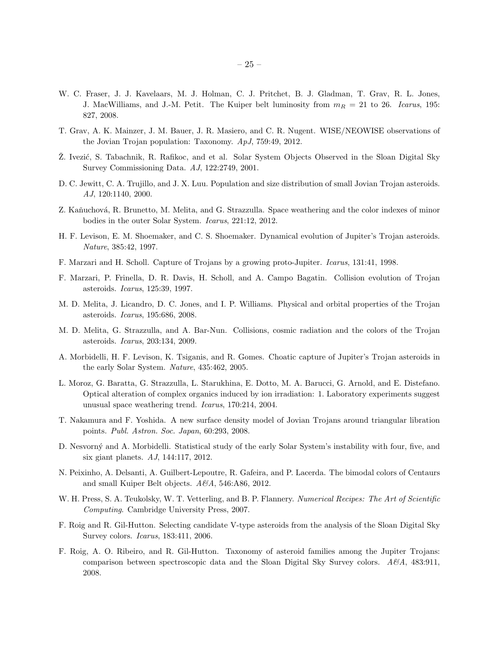- <span id="page-24-13"></span>W. C. Fraser, J. J. Kavelaars, M. J. Holman, C. J. Pritchet, B. J. Gladman, T. Grav, R. L. Jones, J. MacWilliams, and J.-M. Petit. The Kuiper belt luminosity from  $m_R = 21$  to 26. Icarus, 195: 827, 2008.
- <span id="page-24-8"></span>T. Grav, A. K. Mainzer, J. M. Bauer, J. R. Masiero, and C. R. Nugent. WISE/NEOWISE observations of the Jovian Trojan population: Taxonomy. ApJ, 759:49, 2012.
- <span id="page-24-9"></span>Z. Ivezić, S. Tabachnik, R. Rafikoc, and et al. Solar System Objects Observed in the Sloan Digital Sky Survey Commissioning Data. AJ, 122:2749, 2001.
- <span id="page-24-12"></span>D. C. Jewitt, C. A. Trujillo, and J. X. Luu. Population and size distribution of small Jovian Trojan asteroids. AJ, 120:1140, 2000.
- <span id="page-24-15"></span>Z. Kaňuchová, R. Brunetto, M. Melita, and G. Strazzulla. Space weathering and the color indexes of minor bodies in the outer Solar System. Icarus, 221:12, 2012.
- <span id="page-24-1"></span>H. F. Levison, E. M. Shoemaker, and C. S. Shoemaker. Dynamical evolution of Jupiter's Trojan asteroids. Nature, 385:42, 1997.
- <span id="page-24-3"></span>F. Marzari and H. Scholl. Capture of Trojans by a growing proto-Jupiter. Icarus, 131:41, 1998.
- <span id="page-24-2"></span>F. Marzari, P. Frinella, D. R. Davis, H. Scholl, and A. Campo Bagatin. Collision evolution of Trojan asteroids. Icarus, 125:39, 1997.
- <span id="page-24-6"></span>M. D. Melita, J. Licandro, D. C. Jones, and I. P. Williams. Physical and orbital properties of the Trojan asteroids. Icarus, 195:686, 2008.
- <span id="page-24-16"></span>M. D. Melita, G. Strazzulla, and A. Bar-Nun. Collisions, cosmic radiation and the colors of the Trojan asteroids. Icarus, 203:134, 2009.
- <span id="page-24-5"></span>A. Morbidelli, H. F. Levison, K. Tsiganis, and R. Gomes. Choatic capture of Jupiter's Trojan asteroids in the early Solar System. Nature, 435:462, 2005.
- <span id="page-24-14"></span>L. Moroz, G. Baratta, G. Strazzulla, L. Starukhina, E. Dotto, M. A. Barucci, G. Arnold, and E. Distefano. Optical alteration of complex organics induced by ion irradiation: 1. Laboratory experiments suggest unusual space weathering trend. Icarus, 170:214, 2004.
- <span id="page-24-0"></span>T. Nakamura and F. Yoshida. A new surface density model of Jovian Trojans around triangular libration points. Publ. Astron. Soc. Japan, 60:293, 2008.
- <span id="page-24-4"></span>D. Nesvorný and A. Morbidelli. Statistical study of the early Solar System's instability with four, five, and six giant planets. AJ, 144:117, 2012.
- <span id="page-24-17"></span>N. Peixinho, A. Delsanti, A. Guilbert-Lepoutre, R. Gafeira, and P. Lacerda. The bimodal colors of Centaurs and small Kuiper Belt objects.  $A\mathcal{C}A$ , 546:A86, 2012.
- <span id="page-24-11"></span>W. H. Press, S. A. Teukolsky, W. T. Vetterling, and B. P. Flannery. Numerical Recipes: The Art of Scientific Computing. Cambridge University Press, 2007.
- <span id="page-24-10"></span>F. Roig and R. Gil-Hutton. Selecting candidate V-type asteroids from the analysis of the Sloan Digital Sky Survey colors. Icarus, 183:411, 2006.
- <span id="page-24-7"></span>F. Roig, A. O. Ribeiro, and R. Gil-Hutton. Taxonomy of asteroid families among the Jupiter Trojans: comparison between spectroscopic data and the Sloan Digital Sky Survey colors.  $A\&A$ , 483:911, 2008.